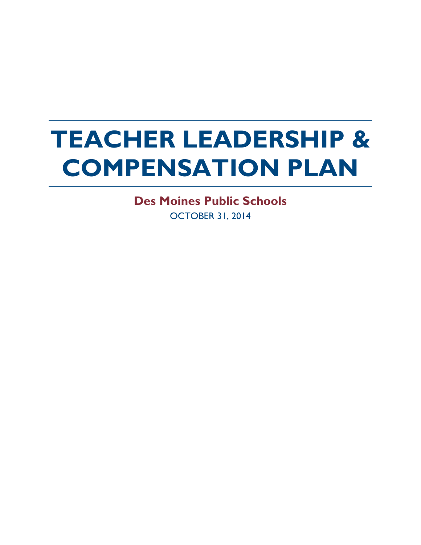# **TEACHER LEADERSHIP & COMPENSATION PLAN**

**Des Moines Public Schools**

OCTOBER 31, 2014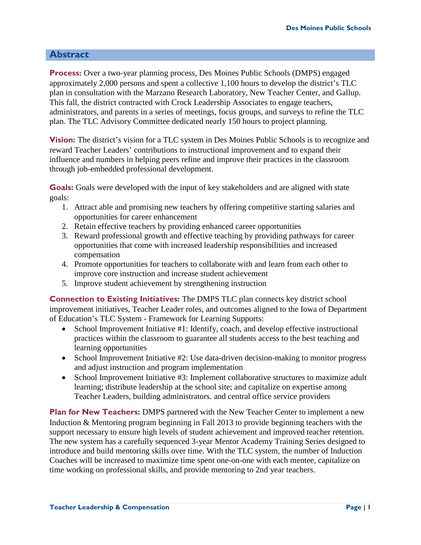# **Abstract**

**Process:** Over a two-year planning process, Des Moines Public Schools (DMPS) engaged approximately 2,000 persons and spent a collective 1,100 hours to develop the district's TLC plan in consultation with the Marzano Research Laboratory, New Teacher Center, and Gallup. This fall, the district contracted with Crock Leadership Associates to engage teachers, administrators, and parents in a series of meetings, focus groups, and surveys to refine the TLC plan. The TLC Advisory Committee dedicated nearly 150 hours to project planning.

**Vision:** The district's vision for a TLC system in Des Moines Public Schools is to recognize and reward Teacher Leaders' contributions to instructional improvement and to expand their influence and numbers in helping peers refine and improve their practices in the classroom through job-embedded professional development.

**Goals:** Goals were developed with the input of key stakeholders and are aligned with state goals:

- 1. Attract able and promising new teachers by offering competitive starting salaries and opportunities for career enhancement
- 2. Retain effective teachers by providing enhanced career opportunities
- 3. Reward professional growth and effective teaching by providing pathways for career opportunities that come with increased leadership responsibilities and increased compensation
- 4. Promote opportunities for teachers to collaborate with and learn from each other to improve core instruction and increase student achievement
- 5. Improve student achievement by strengthening instruction

**Connection to Existing Initiatives:** The DMPS TLC plan connects key district school improvement initiatives, Teacher Leader roles, and outcomes aligned to the Iowa of Department of Education's TLC System - Framework for Learning Supports:

- School Improvement Initiative #1: Identify, coach, and develop effective instructional practices within the classroom to guarantee all students access to the best teaching and learning opportunities
- School Improvement Initiative #2: Use data-driven decision-making to monitor progress and adjust instruction and program implementation
- School Improvement Initiative #3: Implement collaborative structures to maximize adult learning; distribute leadership at the school site; and capitalize on expertise among Teacher Leaders, building administrators. and central office service providers

**Plan for New Teachers:** DMPS partnered with the New Teacher Center to implement a new Induction & Mentoring program beginning in Fall 2013 to provide beginning teachers with the support necessary to ensure high levels of student achievement and improved teacher retention. The new system has a carefully sequenced 3-year Mentor Academy Training Series designed to introduce and build mentoring skills over time. With the TLC system, the number of Induction Coaches will be increased to maximize time spent one-on-one with each mentee, capitalize on time working on professional skills, and provide mentoring to 2nd year teachers.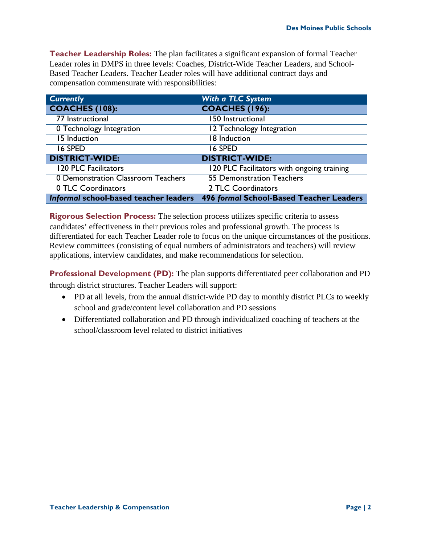**Teacher Leadership Roles:** The plan facilitates a significant expansion of formal Teacher Leader roles in DMPS in three levels: Coaches, District-Wide Teacher Leaders, and School-Based Teacher Leaders. Teacher Leader roles will have additional contract days and compensation commensurate with responsibilities:

| <b>Currently</b>                      | With a TLC System                          |
|---------------------------------------|--------------------------------------------|
| <b>COACHES (108):</b>                 | <b>COACHES (196):</b>                      |
| 77 Instructional                      | 150 Instructional                          |
| 0 Technology Integration              | 12 Technology Integration                  |
| 15 Induction                          | 18 Induction                               |
| 16 SPED                               | 16 SPED                                    |
| <b>DISTRICT-WIDE:</b>                 | <b>DISTRICT-WIDE:</b>                      |
| 120 PLC Facilitators                  | 120 PLC Facilitators with ongoing training |
| 0 Demonstration Classroom Teachers    | <b>55 Demonstration Teachers</b>           |
| 0 TLC Coordinators                    | 2 TLC Coordinators                         |
| Informal school-based teacher leaders | 496 formal School-Based Teacher Leaders    |

**Rigorous Selection Process:** The selection process utilizes specific criteria to assess candidates' effectiveness in their previous roles and professional growth. The process is differentiated for each Teacher Leader role to focus on the unique circumstances of the positions. Review committees (consisting of equal numbers of administrators and teachers) will review applications, interview candidates, and make recommendations for selection.

**Professional Development (PD):** The plan supports differentiated peer collaboration and PD through district structures. Teacher Leaders will support:

- PD at all levels, from the annual district-wide PD day to monthly district PLCs to weekly school and grade/content level collaboration and PD sessions
- Differentiated collaboration and PD through individualized coaching of teachers at the school/classroom level related to district initiatives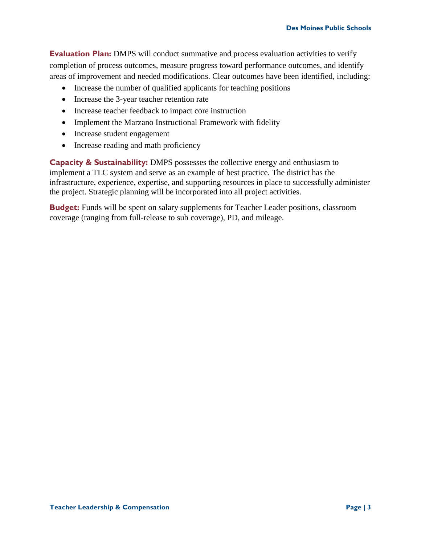**Evaluation Plan:** DMPS will conduct summative and process evaluation activities to verify completion of process outcomes, measure progress toward performance outcomes, and identify areas of improvement and needed modifications. Clear outcomes have been identified, including:

- Increase the number of qualified applicants for teaching positions
- Increase the 3-year teacher retention rate
- Increase teacher feedback to impact core instruction
- Implement the Marzano Instructional Framework with fidelity
- Increase student engagement
- Increase reading and math proficiency

**Capacity & Sustainability:** DMPS possesses the collective energy and enthusiasm to implement a TLC system and serve as an example of best practice. The district has the infrastructure, experience, expertise, and supporting resources in place to successfully administer the project. Strategic planning will be incorporated into all project activities.

**Budget:** Funds will be spent on salary supplements for Teacher Leader positions, classroom coverage (ranging from full-release to sub coverage), PD, and mileage.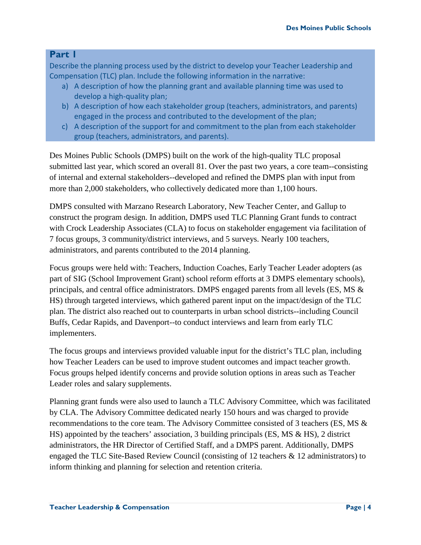Describe the planning process used by the district to develop your Teacher Leadership and Compensation (TLC) plan. Include the following information in the narrative:

- a) A description of how the planning grant and available planning time was used to develop a high-quality plan;
- b) A description of how each stakeholder group (teachers, administrators, and parents) engaged in the process and contributed to the development of the plan;
- c) A description of the support for and commitment to the plan from each stakeholder group (teachers, administrators, and parents).

Des Moines Public Schools (DMPS) built on the work of the high-quality TLC proposal submitted last year, which scored an overall 81. Over the past two years, a core team--consisting of internal and external stakeholders--developed and refined the DMPS plan with input from more than 2,000 stakeholders, who collectively dedicated more than 1,100 hours.

DMPS consulted with Marzano Research Laboratory, New Teacher Center, and Gallup to construct the program design. In addition, DMPS used TLC Planning Grant funds to contract with Crock Leadership Associates (CLA) to focus on stakeholder engagement via facilitation of 7 focus groups, 3 community/district interviews, and 5 surveys. Nearly 100 teachers, administrators, and parents contributed to the 2014 planning.

Focus groups were held with: Teachers, Induction Coaches, Early Teacher Leader adopters (as part of SIG (School Improvement Grant) school reform efforts at 3 DMPS elementary schools), principals, and central office administrators. DMPS engaged parents from all levels (ES, MS & HS) through targeted interviews, which gathered parent input on the impact/design of the TLC plan. The district also reached out to counterparts in urban school districts--including Council Buffs, Cedar Rapids, and Davenport--to conduct interviews and learn from early TLC implementers.

The focus groups and interviews provided valuable input for the district's TLC plan, including how Teacher Leaders can be used to improve student outcomes and impact teacher growth. Focus groups helped identify concerns and provide solution options in areas such as Teacher Leader roles and salary supplements.

Planning grant funds were also used to launch a TLC Advisory Committee, which was facilitated by CLA. The Advisory Committee dedicated nearly 150 hours and was charged to provide recommendations to the core team. The Advisory Committee consisted of 3 teachers (ES, MS & HS) appointed by the teachers' association, 3 building principals (ES, MS & HS), 2 district administrators, the HR Director of Certified Staff, and a DMPS parent. Additionally, DMPS engaged the TLC Site-Based Review Council (consisting of 12 teachers & 12 administrators) to inform thinking and planning for selection and retention criteria.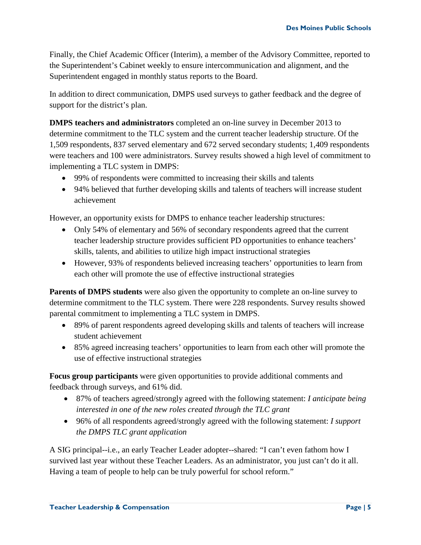Finally, the Chief Academic Officer (Interim), a member of the Advisory Committee, reported to the Superintendent's Cabinet weekly to ensure intercommunication and alignment, and the Superintendent engaged in monthly status reports to the Board.

In addition to direct communication, DMPS used surveys to gather feedback and the degree of support for the district's plan.

**DMPS teachers and administrators** completed an on-line survey in December 2013 to determine commitment to the TLC system and the current teacher leadership structure. Of the 1,509 respondents, 837 served elementary and 672 served secondary students; 1,409 respondents were teachers and 100 were administrators. Survey results showed a high level of commitment to implementing a TLC system in DMPS:

- 99% of respondents were committed to increasing their skills and talents
- 94% believed that further developing skills and talents of teachers will increase student achievement

However, an opportunity exists for DMPS to enhance teacher leadership structures:

- Only 54% of elementary and 56% of secondary respondents agreed that the current teacher leadership structure provides sufficient PD opportunities to enhance teachers' skills, talents, and abilities to utilize high impact instructional strategies
- However, 93% of respondents believed increasing teachers' opportunities to learn from each other will promote the use of effective instructional strategies

**Parents of DMPS students** were also given the opportunity to complete an on-line survey to determine commitment to the TLC system. There were 228 respondents. Survey results showed parental commitment to implementing a TLC system in DMPS.

- 89% of parent respondents agreed developing skills and talents of teachers will increase student achievement
- 85% agreed increasing teachers' opportunities to learn from each other will promote the use of effective instructional strategies

**Focus group participants** were given opportunities to provide additional comments and feedback through surveys, and 61% did.

- 87% of teachers agreed/strongly agreed with the following statement: *I anticipate being interested in one of the new roles created through the TLC grant*
- 96% of all respondents agreed/strongly agreed with the following statement: *I support the DMPS TLC grant application*

A SIG principal--i.e., an early Teacher Leader adopter--shared: "I can't even fathom how I survived last year without these Teacher Leaders. As an administrator, you just can't do it all. Having a team of people to help can be truly powerful for school reform."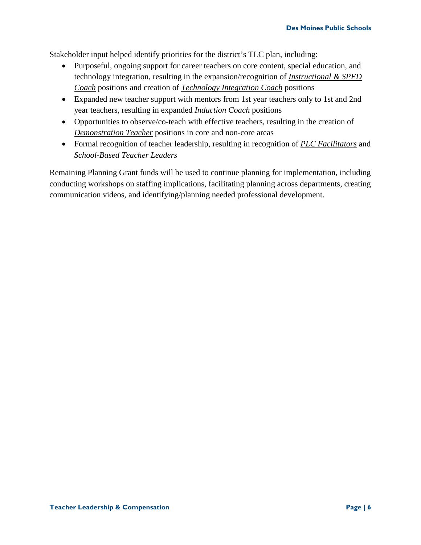Stakeholder input helped identify priorities for the district's TLC plan, including:

- Purposeful, ongoing support for career teachers on core content, special education, and technology integration, resulting in the expansion/recognition of *Instructional & SPED Coach* positions and creation of *Technology Integration Coach* positions
- Expanded new teacher support with mentors from 1st year teachers only to 1st and 2nd year teachers, resulting in expanded *Induction Coach* positions
- Opportunities to observe/co-teach with effective teachers, resulting in the creation of *Demonstration Teacher* positions in core and non-core areas
- Formal recognition of teacher leadership, resulting in recognition of *PLC Facilitators* and *School-Based Teacher Leaders*

Remaining Planning Grant funds will be used to continue planning for implementation, including conducting workshops on staffing implications, facilitating planning across departments, creating communication videos, and identifying/planning needed professional development.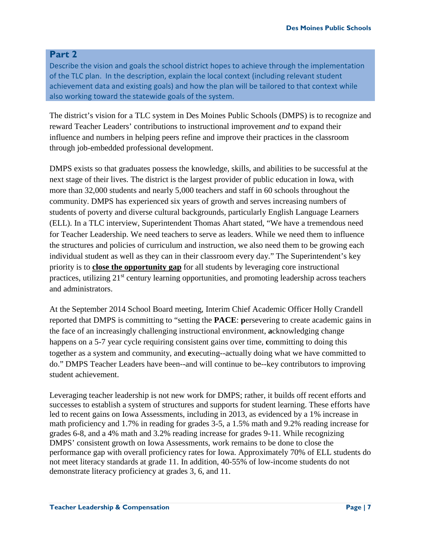Describe the vision and goals the school district hopes to achieve through the implementation of the TLC plan. In the description, explain the local context (including relevant student achievement data and existing goals) and how the plan will be tailored to that context while also working toward the statewide goals of the system.

The district's vision for a TLC system in Des Moines Public Schools (DMPS) is to recognize and reward Teacher Leaders' contributions to instructional improvement *and* to expand their influence and numbers in helping peers refine and improve their practices in the classroom through job-embedded professional development.

DMPS exists so that graduates possess the knowledge, skills, and abilities to be successful at the next stage of their lives. The district is the largest provider of public education in Iowa, with more than 32,000 students and nearly 5,000 teachers and staff in 60 schools throughout the community. DMPS has experienced six years of growth and serves increasing numbers of students of poverty and diverse cultural backgrounds, particularly English Language Learners (ELL). In a TLC interview, Superintendent Thomas Ahart stated, "We have a tremendous need for Teacher Leadership. We need teachers to serve as leaders. While we need them to influence the structures and policies of curriculum and instruction, we also need them to be growing each individual student as well as they can in their classroom every day." The Superintendent's key priority is to **close the opportunity gap** for all students by leveraging core instructional practices, utilizing 21<sup>st</sup> century learning opportunities, and promoting leadership across teachers and administrators.

At the September 2014 School Board meeting, Interim Chief Academic Officer Holly Crandell reported that DMPS is committing to "setting the **PACE**: **p**ersevering to create academic gains in the face of an increasingly challenging instructional environment, **a**cknowledging change happens on a 5-7 year cycle requiring consistent gains over time, **c**ommitting to doing this together as a system and community, and **e**xecuting--actually doing what we have committed to do." DMPS Teacher Leaders have been--and will continue to be--key contributors to improving student achievement.

Leveraging teacher leadership is not new work for DMPS; rather, it builds off recent efforts and successes to establish a system of structures and supports for student learning. These efforts have led to recent gains on Iowa Assessments, including in 2013, as evidenced by a 1% increase in math proficiency and 1.7% in reading for grades 3-5, a 1.5% math and 9.2% reading increase for grades 6-8, and a 4% math and 3.2% reading increase for grades 9-11. While recognizing DMPS' consistent growth on Iowa Assessments, work remains to be done to close the performance gap with overall proficiency rates for Iowa. Approximately 70% of ELL students do not meet literacy standards at grade 11. In addition, 40-55% of low-income students do not demonstrate literacy proficiency at grades 3, 6, and 11.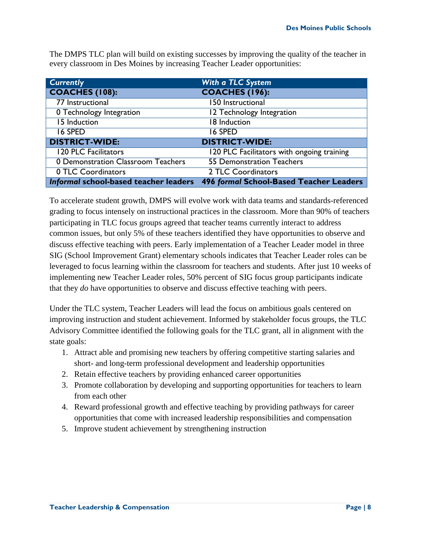The DMPS TLC plan will build on existing successes by improving the quality of the teacher in every classroom in Des Moines by increasing Teacher Leader opportunities:

| <b>Currently</b>                      | <b>With a TLC System</b>                   |
|---------------------------------------|--------------------------------------------|
| <b>COACHES (108):</b>                 | <b>COACHES (196):</b>                      |
| 77 Instructional                      | 150 Instructional                          |
| 0 Technology Integration              | 12 Technology Integration                  |
| 15 Induction                          | 18 Induction                               |
| 16 SPED                               | 16 SPED                                    |
| <b>DISTRICT-WIDE:</b>                 | <b>DISTRICT-WIDE:</b>                      |
| <b>120 PLC Facilitators</b>           | 120 PLC Facilitators with ongoing training |
| 0 Demonstration Classroom Teachers    | <b>55 Demonstration Teachers</b>           |
| 0 TLC Coordinators                    | 2 TLC Coordinators                         |
| Informal school-based teacher leaders | 496 formal School-Based Teacher Leaders    |

To accelerate student growth, DMPS will evolve work with data teams and standards-referenced grading to focus intensely on instructional practices in the classroom. More than 90% of teachers participating in TLC focus groups agreed that teacher teams currently interact to address common issues, but only 5% of these teachers identified they have opportunities to observe and discuss effective teaching with peers. Early implementation of a Teacher Leader model in three SIG (School Improvement Grant) elementary schools indicates that Teacher Leader roles can be leveraged to focus learning within the classroom for teachers and students. After just 10 weeks of implementing new Teacher Leader roles, 50% percent of SIG focus group participants indicate that they *do* have opportunities to observe and discuss effective teaching with peers.

Under the TLC system, Teacher Leaders will lead the focus on ambitious goals centered on improving instruction and student achievement. Informed by stakeholder focus groups, the TLC Advisory Committee identified the following goals for the TLC grant, all in alignment with the state goals:

- 1. Attract able and promising new teachers by offering competitive starting salaries and short- and long-term professional development and leadership opportunities
- 2. Retain effective teachers by providing enhanced career opportunities
- 3. Promote collaboration by developing and supporting opportunities for teachers to learn from each other
- 4. Reward professional growth and effective teaching by providing pathways for career opportunities that come with increased leadership responsibilities and compensation
- 5. Improve student achievement by strengthening instruction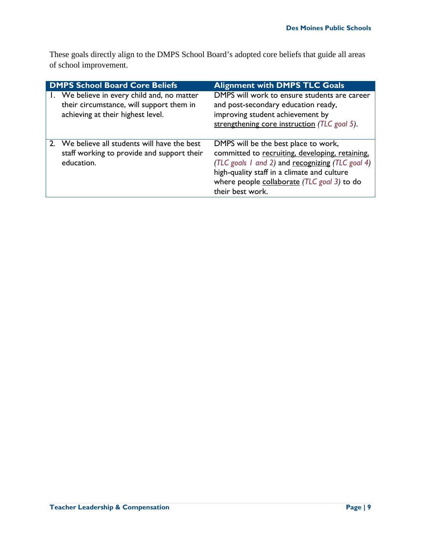These goals directly align to the DMPS School Board's adopted core beliefs that guide all areas of school improvement.

| <b>DMPS School Board Core Beliefs</b>                                                                                        | <b>Alignment with DMPS TLC Goals</b>                                                                                                                                                                                                                          |
|------------------------------------------------------------------------------------------------------------------------------|---------------------------------------------------------------------------------------------------------------------------------------------------------------------------------------------------------------------------------------------------------------|
| 1. We believe in every child and, no matter<br>their circumstance, will support them in<br>achieving at their highest level. | DMPS will work to ensure students are career<br>and post-secondary education ready,<br>improving student achievement by<br>strengthening core instruction (TLC goal 5).                                                                                       |
| 2. We believe all students will have the best<br>staff working to provide and support their<br>education.                    | DMPS will be the best place to work,<br>committed to recruiting, developing, retaining,<br>(TLC goals 1 and 2) and recognizing (TLC goal 4)<br>high-quality staff in a climate and culture<br>where people collaborate (TLC goal 3) to do<br>their best work. |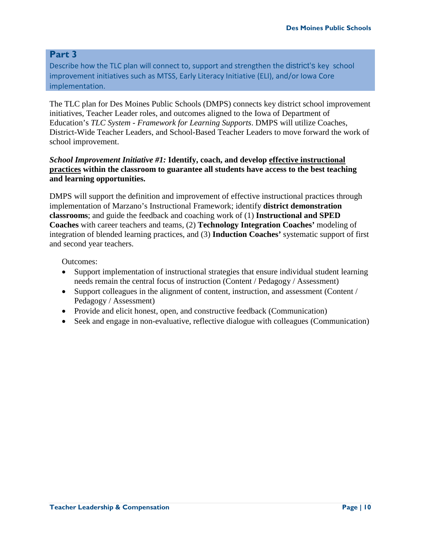Describe how the TLC plan will connect to, support and strengthen the district's key school improvement initiatives such as MTSS, Early Literacy Initiative (ELI), and/or Iowa Core implementation.

The TLC plan for Des Moines Public Schools (DMPS) connects key district school improvement initiatives, Teacher Leader roles, and outcomes aligned to the Iowa of Department of Education's *TLC System - Framework for Learning Supports*. DMPS will utilize Coaches, District-Wide Teacher Leaders, and School-Based Teacher Leaders to move forward the work of school improvement.

#### *School Improvement Initiative #1:* **Identify, coach, and develop effective instructional practices within the classroom to guarantee all students have access to the best teaching and learning opportunities.**

DMPS will support the definition and improvement of effective instructional practices through implementation of Marzano's Instructional Framework; identify **district demonstration classrooms**; and guide the feedback and coaching work of (1) **Instructional and SPED Coaches** with career teachers and teams, (2) **Technology Integration Coaches'** modeling of integration of blended learning practices, and (3) **Induction Coaches'** systematic support of first and second year teachers.

#### Outcomes:

- Support implementation of instructional strategies that ensure individual student learning needs remain the central focus of instruction (Content / Pedagogy / Assessment)
- Support colleagues in the alignment of content, instruction, and assessment (Content / Pedagogy / Assessment)
- Provide and elicit honest, open, and constructive feedback (Communication)
- Seek and engage in non-evaluative, reflective dialogue with colleagues (Communication)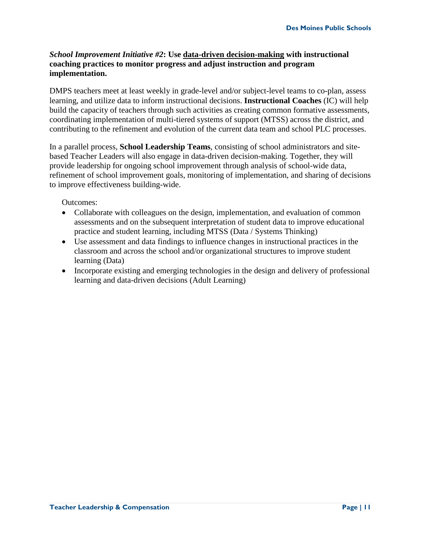## *School Improvement Initiative #2***: Use data-driven decision-making with instructional coaching practices to monitor progress and adjust instruction and program implementation.**

DMPS teachers meet at least weekly in grade-level and/or subject-level teams to co-plan, assess learning, and utilize data to inform instructional decisions. **Instructional Coaches** (IC) will help build the capacity of teachers through such activities as creating common formative assessments, coordinating implementation of multi-tiered systems of support (MTSS) across the district, and contributing to the refinement and evolution of the current data team and school PLC processes.

In a parallel process, **School Leadership Teams**, consisting of school administrators and sitebased Teacher Leaders will also engage in data-driven decision-making. Together, they will provide leadership for ongoing school improvement through analysis of school-wide data, refinement of school improvement goals, monitoring of implementation, and sharing of decisions to improve effectiveness building-wide.

Outcomes:

- Collaborate with colleagues on the design, implementation, and evaluation of common assessments and on the subsequent interpretation of student data to improve educational practice and student learning, including MTSS (Data / Systems Thinking)
- Use assessment and data findings to influence changes in instructional practices in the classroom and across the school and/or organizational structures to improve student learning (Data)
- Incorporate existing and emerging technologies in the design and delivery of professional learning and data-driven decisions (Adult Learning)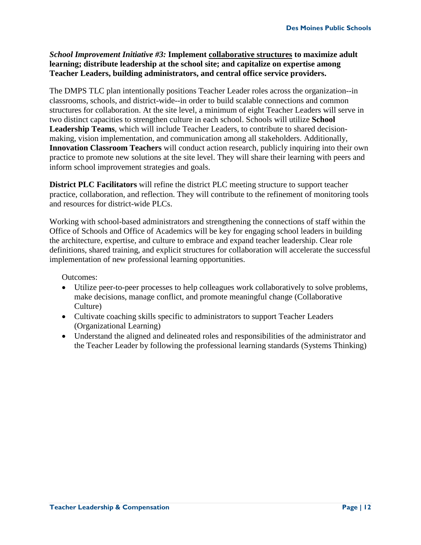#### *School Improvement Initiative #3:* **Implement collaborative structures to maximize adult learning; distribute leadership at the school site; and capitalize on expertise among Teacher Leaders, building administrators, and central office service providers.**

The DMPS TLC plan intentionally positions Teacher Leader roles across the organization--in classrooms, schools, and district-wide--in order to build scalable connections and common structures for collaboration. At the site level, a minimum of eight Teacher Leaders will serve in two distinct capacities to strengthen culture in each school. Schools will utilize **School Leadership Teams**, which will include Teacher Leaders, to contribute to shared decisionmaking, vision implementation, and communication among all stakeholders. Additionally, **Innovation Classroom Teachers** will conduct action research, publicly inquiring into their own practice to promote new solutions at the site level. They will share their learning with peers and inform school improvement strategies and goals.

**District PLC Facilitators** will refine the district PLC meeting structure to support teacher practice, collaboration, and reflection. They will contribute to the refinement of monitoring tools and resources for district-wide PLCs.

Working with school-based administrators and strengthening the connections of staff within the Office of Schools and Office of Academics will be key for engaging school leaders in building the architecture, expertise, and culture to embrace and expand teacher leadership. Clear role definitions, shared training, and explicit structures for collaboration will accelerate the successful implementation of new professional learning opportunities.

Outcomes:

- Utilize peer-to-peer processes to help colleagues work collaboratively to solve problems, make decisions, manage conflict, and promote meaningful change (Collaborative Culture)
- Cultivate coaching skills specific to administrators to support Teacher Leaders (Organizational Learning)
- Understand the aligned and delineated roles and responsibilities of the administrator and the Teacher Leader by following the professional learning standards (Systems Thinking)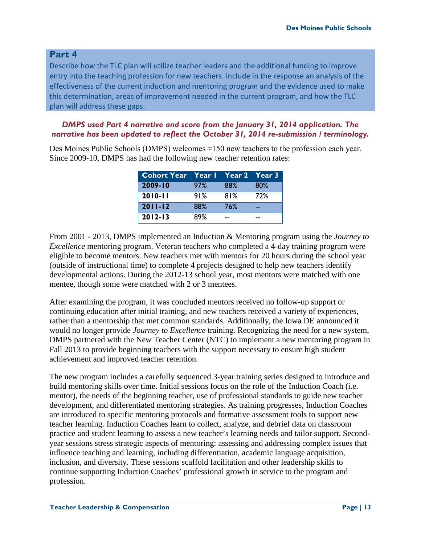Describe how the TLC plan will utilize teacher leaders and the additional funding to improve entry into the teaching profession for new teachers. Include in the response an analysis of the effectiveness of the current induction and mentoring program and the evidence used to make this determination, areas of improvement needed in the current program, and how the TLC plan will address these gaps.

## *DMPS used Part 4 narrative and score from the January 31, 2014 application. The narrative has been updated to reflect the October 31, 2014 re-submission / terminology.*

Des Moines Public Schools (DMPS) welcomes ≈150 new teachers to the profession each year. Since 2009-10, DMPS has had the following new teacher retention rates:

| Cohort Year Year   Year 2 Year 3 |     |     |     |
|----------------------------------|-----|-----|-----|
| $ 2009-10$                       | 97% | 88% | 80% |
| $ 2010-11$                       | 91% | 81% | 72% |
| $2011 - 12$                      | 88% | 76% | --  |
| 2012-13                          | 89% | --  |     |

From 2001 - 2013, DMPS implemented an Induction & Mentoring program using the *Journey to Excellence* mentoring program. Veteran teachers who completed a 4-day training program were eligible to become mentors. New teachers met with mentors for 20 hours during the school year (outside of instructional time) to complete 4 projects designed to help new teachers identify developmental actions. During the 2012-13 school year, most mentors were matched with one mentee, though some were matched with 2 or 3 mentees.

After examining the program, it was concluded mentors received no follow-up support or continuing education after initial training, and new teachers received a variety of experiences, rather than a mentorship that met common standards. Additionally, the Iowa DE announced it would no longer provide *Journey to Excellence* training. Recognizing the need for a new system, DMPS partnered with the New Teacher Center (NTC) to implement a new mentoring program in Fall 2013 to provide beginning teachers with the support necessary to ensure high student achievement and improved teacher retention.

The new program includes a carefully sequenced 3-year training series designed to introduce and build mentoring skills over time. Initial sessions focus on the role of the Induction Coach (i.e. mentor), the needs of the beginning teacher, use of professional standards to guide new teacher development, and differentiated mentoring strategies. As training progresses, Induction Coaches are introduced to specific mentoring protocols and formative assessment tools to support new teacher learning. Induction Coaches learn to collect, analyze, and debrief data on classroom practice and student learning to assess a new teacher's learning needs and tailor support. Secondyear sessions stress strategic aspects of mentoring: assessing and addressing complex issues that influence teaching and learning, including differentiation, academic language acquisition, inclusion, and diversity. These sessions scaffold facilitation and other leadership skills to continue supporting Induction Coaches' professional growth in service to the program and profession.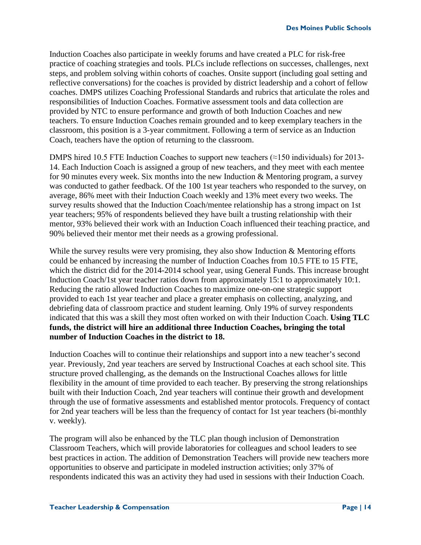Induction Coaches also participate in weekly forums and have created a PLC for risk-free practice of coaching strategies and tools. PLCs include reflections on successes, challenges, next steps, and problem solving within cohorts of coaches. Onsite support (including goal setting and reflective conversations) for the coaches is provided by district leadership and a cohort of fellow coaches. DMPS utilizes Coaching Professional Standards and rubrics that articulate the roles and responsibilities of Induction Coaches. Formative assessment tools and data collection are provided by NTC to ensure performance and growth of both Induction Coaches and new teachers. To ensure Induction Coaches remain grounded and to keep exemplary teachers in the classroom, this position is a 3-year commitment. Following a term of service as an Induction Coach, teachers have the option of returning to the classroom.

DMPS hired 10.5 FTE Induction Coaches to support new teachers ( $\approx$ 150 individuals) for 2013-14. Each Induction Coach is assigned a group of new teachers, and they meet with each mentee for 90 minutes every week. Six months into the new Induction & Mentoring program, a survey was conducted to gather feedback. Of the 100 1st year teachers who responded to the survey, on average, 86% meet with their Induction Coach weekly and 13% meet every two weeks. The survey results showed that the Induction Coach/mentee relationship has a strong impact on 1st year teachers; 95% of respondents believed they have built a trusting relationship with their mentor, 93% believed their work with an Induction Coach influenced their teaching practice, and 90% believed their mentor met their needs as a growing professional.

While the survey results were very promising, they also show Induction & Mentoring efforts could be enhanced by increasing the number of Induction Coaches from 10.5 FTE to 15 FTE, which the district did for the 2014-2014 school year, using General Funds. This increase brought Induction Coach/1st year teacher ratios down from approximately 15:1 to approximately 10:1. Reducing the ratio allowed Induction Coaches to maximize one-on-one strategic support provided to each 1st year teacher and place a greater emphasis on collecting, analyzing, and debriefing data of classroom practice and student learning. Only 19% of survey respondents indicated that this was a skill they most often worked on with their Induction Coach. **Using TLC funds, the district will hire an additional three Induction Coaches, bringing the total number of Induction Coaches in the district to 18.** 

Induction Coaches will to continue their relationships and support into a new teacher's second year. Previously, 2nd year teachers are served by Instructional Coaches at each school site. This structure proved challenging, as the demands on the Instructional Coaches allows for little flexibility in the amount of time provided to each teacher. By preserving the strong relationships built with their Induction Coach, 2nd year teachers will continue their growth and development through the use of formative assessments and established mentor protocols. Frequency of contact for 2nd year teachers will be less than the frequency of contact for 1st year teachers (bi-monthly v. weekly).

The program will also be enhanced by the TLC plan though inclusion of Demonstration Classroom Teachers, which will provide laboratories for colleagues and school leaders to see best practices in action. The addition of Demonstration Teachers will provide new teachers more opportunities to observe and participate in modeled instruction activities; only 37% of respondents indicated this was an activity they had used in sessions with their Induction Coach.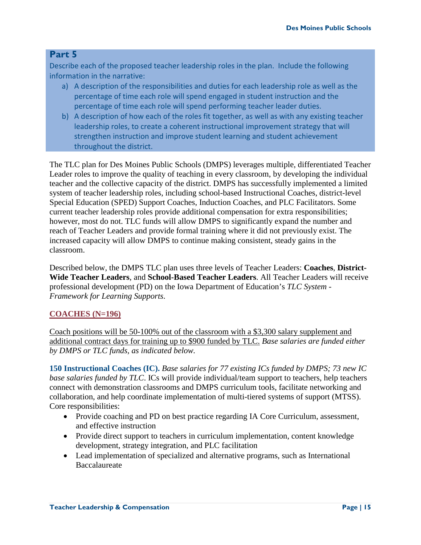Describe each of the proposed teacher leadership roles in the plan. Include the following information in the narrative:

- a) A description of the responsibilities and duties for each leadership role as well as the percentage of time each role will spend engaged in student instruction and the percentage of time each role will spend performing teacher leader duties.
- b) A description of how each of the roles fit together, as well as with any existing teacher leadership roles, to create a coherent instructional improvement strategy that will strengthen instruction and improve student learning and student achievement throughout the district.

The TLC plan for Des Moines Public Schools (DMPS) leverages multiple, differentiated Teacher Leader roles to improve the quality of teaching in every classroom, by developing the individual teacher and the collective capacity of the district. DMPS has successfully implemented a limited system of teacher leadership roles, including school-based Instructional Coaches, district-level Special Education (SPED) Support Coaches, Induction Coaches, and PLC Facilitators. Some current teacher leadership roles provide additional compensation for extra responsibilities; however, most do not. TLC funds will allow DMPS to significantly expand the number and reach of Teacher Leaders and provide formal training where it did not previously exist. The increased capacity will allow DMPS to continue making consistent, steady gains in the classroom.

Described below, the DMPS TLC plan uses three levels of Teacher Leaders: **Coaches**, **District-Wide Teacher Leaders**, and **School-Based Teacher Leaders**. All Teacher Leaders will receive professional development (PD) on the Iowa Department of Education's *TLC System - Framework for Learning Supports*.

# **COACHES (N=196)**

Coach positions will be 50-100% out of the classroom with a \$3,300 salary supplement and additional contract days for training up to \$900 funded by TLC. *Base salaries are funded either by DMPS or TLC funds, as indicated below.*

**150 Instructional Coaches (IC).** *Base salaries for 77 existing ICs funded by DMPS; 73 new IC base salaries funded by TLC*. ICs will provide individual/team support to teachers, help teachers connect with demonstration classrooms and DMPS curriculum tools, facilitate networking and collaboration, and help coordinate implementation of multi-tiered systems of support (MTSS). Core responsibilities:

- Provide coaching and PD on best practice regarding IA Core Curriculum, assessment, and effective instruction
- Provide direct support to teachers in curriculum implementation, content knowledge development, strategy integration, and PLC facilitation
- Lead implementation of specialized and alternative programs, such as International **Baccalaureate**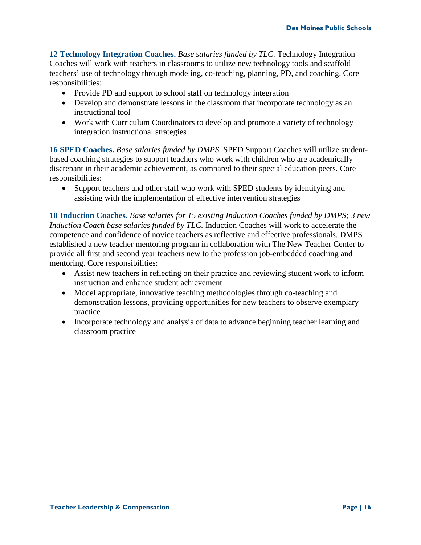**12 Technology Integration Coaches.** *Base salaries funded by TLC.* Technology Integration Coaches will work with teachers in classrooms to utilize new technology tools and scaffold teachers' use of technology through modeling, co-teaching, planning, PD, and coaching. Core responsibilities:

- Provide PD and support to school staff on technology integration
- Develop and demonstrate lessons in the classroom that incorporate technology as an instructional tool
- Work with Curriculum Coordinators to develop and promote a variety of technology integration instructional strategies

**16 SPED Coaches.** *Base salaries funded by DMPS.* SPED Support Coaches will utilize studentbased coaching strategies to support teachers who work with children who are academically discrepant in their academic achievement, as compared to their special education peers. Core responsibilities:

• Support teachers and other staff who work with SPED students by identifying and assisting with the implementation of effective intervention strategies

**18 Induction Coaches**. *Base salaries for 15 existing Induction Coaches funded by DMPS; 3 new Induction Coach base salaries funded by TLC.* Induction Coaches will work to accelerate the competence and confidence of novice teachers as reflective and effective professionals. DMPS established a new teacher mentoring program in collaboration with The New Teacher Center to provide all first and second year teachers new to the profession job-embedded coaching and mentoring. Core responsibilities:

- Assist new teachers in reflecting on their practice and reviewing student work to inform instruction and enhance student achievement
- Model appropriate, innovative teaching methodologies through co-teaching and demonstration lessons, providing opportunities for new teachers to observe exemplary practice
- Incorporate technology and analysis of data to advance beginning teacher learning and classroom practice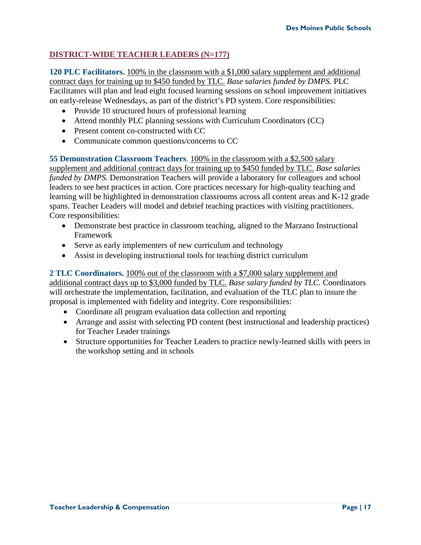## **DISTRICT-WIDE TEACHER LEADERS (N=177)**

**120 PLC Facilitators.** 100% in the classroom with a \$1,000 salary supplement and additional contract days for training up to \$450 funded by TLC. *Base salaries funded by DMPS.* PLC Facilitators will plan and lead eight focused learning sessions on school improvement initiatives on early-release Wednesdays, as part of the district's PD system. Core responsibilities:

- Provide 10 structured hours of professional learning
- Attend monthly PLC planning sessions with Curriculum Coordinators (CC)
- Present content co-constructed with CC
- Communicate common questions/concerns to CC

**55 Demonstration Classroom Teachers**. 100% in the classroom with a \$2,500 salary supplement and additional contract days for training up to \$450 funded by TLC. *Base salaries funded by DMPS.* Demonstration Teachers will provide a laboratory for colleagues and school leaders to see best practices in action. Core practices necessary for high-quality teaching and learning will be highlighted in demonstration classrooms across all content areas and K-12 grade spans. Teacher Leaders will model and debrief teaching practices with visiting practitioners. Core responsibilities:

- Demonstrate best practice in classroom teaching, aligned to the Marzano Instructional Framework
- Serve as early implementers of new curriculum and technology
- Assist in developing instructional tools for teaching district curriculum

#### **2 TLC Coordinators.** 100% out of the classroom with a \$7,000 salary supplement and

additional contract days up to \$3,000 funded by TLC. *Base salary funded by TLC.* Coordinators will orchestrate the implementation, facilitation, and evaluation of the TLC plan to insure the proposal is implemented with fidelity and integrity. Core responsibilities:

- Coordinate all program evaluation data collection and reporting
- Arrange and assist with selecting PD content (best instructional and leadership practices) for Teacher Leader trainings
- Structure opportunities for Teacher Leaders to practice newly-learned skills with peers in the workshop setting and in schools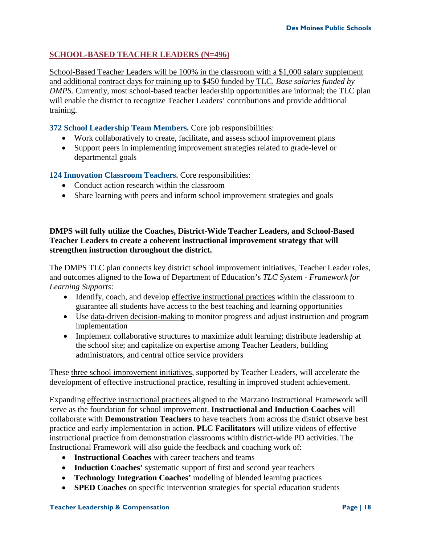#### **SCHOOL-BASED TEACHER LEADERS (N=496)**

School-Based Teacher Leaders will be 100% in the classroom with a \$1,000 salary supplement and additional contract days for training up to \$450 funded by TLC. *Base salaries funded by DMPS.* Currently, most school-based teacher leadership opportunities are informal; the TLC plan will enable the district to recognize Teacher Leaders' contributions and provide additional training.

#### **372 School Leadership Team Members.** Core job responsibilities:

- Work collaboratively to create, facilitate, and assess school improvement plans
- Support peers in implementing improvement strategies related to grade-level or departmental goals

**124 Innovation Classroom Teachers.** Core responsibilities:

- Conduct action research within the classroom
- Share learning with peers and inform school improvement strategies and goals

#### **DMPS will fully utilize the Coaches, District-Wide Teacher Leaders, and School-Based Teacher Leaders to create a coherent instructional improvement strategy that will strengthen instruction throughout the district.**

The DMPS TLC plan connects key district school improvement initiatives, Teacher Leader roles, and outcomes aligned to the Iowa of Department of Education's *TLC System - Framework for Learning Supports*:

- Identify, coach, and develop effective instructional practices within the classroom to guarantee all students have access to the best teaching and learning opportunities
- Use data-driven decision-making to monitor progress and adjust instruction and program implementation
- Implement collaborative structures to maximize adult learning; distribute leadership at the school site; and capitalize on expertise among Teacher Leaders, building administrators, and central office service providers

These three school improvement initiatives, supported by Teacher Leaders, will accelerate the development of effective instructional practice, resulting in improved student achievement.

Expanding effective instructional practices aligned to the Marzano Instructional Framework will serve as the foundation for school improvement. **Instructional and Induction Coaches** will collaborate with **Demonstration Teachers** to have teachers from across the district observe best practice and early implementation in action. **PLC Facilitators** will utilize videos of effective instructional practice from demonstration classrooms within district-wide PD activities. The Instructional Framework will also guide the feedback and coaching work of:

- **Instructional Coaches** with career teachers and teams
- **Induction Coaches'** systematic support of first and second year teachers
- **Technology Integration Coaches'** modeling of blended learning practices
- **SPED Coaches** on specific intervention strategies for special education students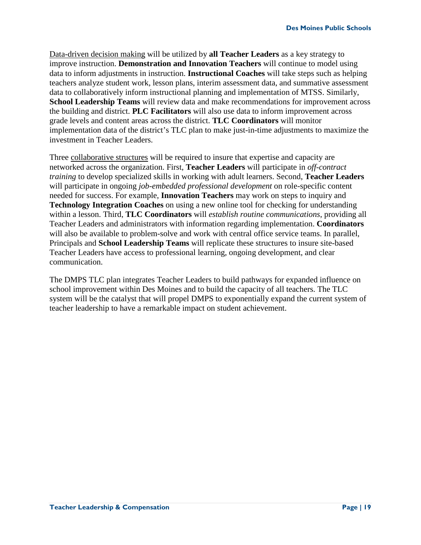Data-driven decision making will be utilized by **all Teacher Leaders** as a key strategy to improve instruction. **Demonstration and Innovation Teachers** will continue to model using data to inform adjustments in instruction. **Instructional Coaches** will take steps such as helping teachers analyze student work, lesson plans, interim assessment data, and summative assessment data to collaboratively inform instructional planning and implementation of MTSS. Similarly, **School Leadership Teams** will review data and make recommendations for improvement across the building and district. **PLC Facilitators** will also use data to inform improvement across grade levels and content areas across the district. **TLC Coordinators** will monitor implementation data of the district's TLC plan to make just-in-time adjustments to maximize the investment in Teacher Leaders.

Three collaborative structures will be required to insure that expertise and capacity are networked across the organization. First, **Teacher Leaders** will participate in *off-contract training* to develop specialized skills in working with adult learners. Second, **Teacher Leaders**  will participate in ongoing *job-embedded professional development* on role-specific content needed for success. For example, **Innovation Teachers** may work on steps to inquiry and **Technology Integration Coaches** on using a new online tool for checking for understanding within a lesson. Third, **TLC Coordinators** will *establish routine communications*, providing all Teacher Leaders and administrators with information regarding implementation. **Coordinators** will also be available to problem-solve and work with central office service teams. In parallel, Principals and **School Leadership Teams** will replicate these structures to insure site-based Teacher Leaders have access to professional learning, ongoing development, and clear communication.

The DMPS TLC plan integrates Teacher Leaders to build pathways for expanded influence on school improvement within Des Moines and to build the capacity of all teachers. The TLC system will be the catalyst that will propel DMPS to exponentially expand the current system of teacher leadership to have a remarkable impact on student achievement.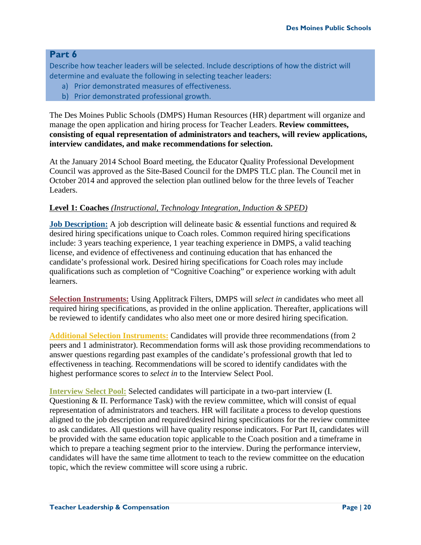Describe how teacher leaders will be selected. Include descriptions of how the district will determine and evaluate the following in selecting teacher leaders:

- a) Prior demonstrated measures of effectiveness.
- b) Prior demonstrated professional growth.

The Des Moines Public Schools (DMPS) Human Resources (HR) department will organize and manage the open application and hiring process for Teacher Leaders. **Review committees, consisting of equal representation of administrators and teachers, will review applications, interview candidates, and make recommendations for selection.**

At the January 2014 School Board meeting, the Educator Quality Professional Development Council was approved as the Site-Based Council for the DMPS TLC plan. The Council met in October 2014 and approved the selection plan outlined below for the three levels of Teacher Leaders.

## **Level 1: Coaches** *(Instructional, Technology Integration, Induction & SPED)*

**Job Description:** A job description will delineate basic & essential functions and required & desired hiring specifications unique to Coach roles. Common required hiring specifications include: 3 years teaching experience, 1 year teaching experience in DMPS, a valid teaching license, and evidence of effectiveness and continuing education that has enhanced the candidate's professional work. Desired hiring specifications for Coach roles may include qualifications such as completion of "Cognitive Coaching" or experience working with adult learners.

**Selection Instruments:** Using Applitrack Filters, DMPS will *select in* candidates who meet all required hiring specifications, as provided in the online application. Thereafter, applications will be reviewed to identify candidates who also meet one or more desired hiring specification.

**Additional Selection Instruments:** Candidates will provide three recommendations (from 2 peers and 1 administrator). Recommendation forms will ask those providing recommendations to answer questions regarding past examples of the candidate's professional growth that led to effectiveness in teaching. Recommendations will be scored to identify candidates with the highest performance scores to *select in* to the Interview Select Pool.

**Interview Select Pool:** Selected candidates will participate in a two-part interview (I. Questioning & II. Performance Task) with the review committee, which will consist of equal representation of administrators and teachers. HR will facilitate a process to develop questions aligned to the job description and required/desired hiring specifications for the review committee to ask candidates. All questions will have quality response indicators. For Part II, candidates will be provided with the same education topic applicable to the Coach position and a timeframe in which to prepare a teaching segment prior to the interview. During the performance interview, candidates will have the same time allotment to teach to the review committee on the education topic, which the review committee will score using a rubric.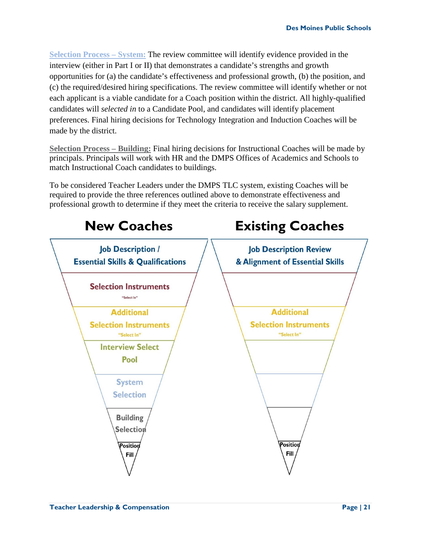**Selection Process – System:** The review committee will identify evidence provided in the interview (either in Part I or II) that demonstrates a candidate's strengths and growth opportunities for (a) the candidate's effectiveness and professional growth, (b) the position, and (c) the required/desired hiring specifications. The review committee will identify whether or not each applicant is a viable candidate for a Coach position within the district. All highly-qualified candidates will *selected in* to a Candidate Pool, and candidates will identify placement preferences. Final hiring decisions for Technology Integration and Induction Coaches will be made by the district.

**Selection Process – Building:** Final hiring decisions for Instructional Coaches will be made by principals. Principals will work with HR and the DMPS Offices of Academics and Schools to match Instructional Coach candidates to buildings.

To be considered Teacher Leaders under the DMPS TLC system, existing Coaches will be required to provide the three references outlined above to demonstrate effectiveness and professional growth to determine if they meet the criteria to receive the salary supplement.

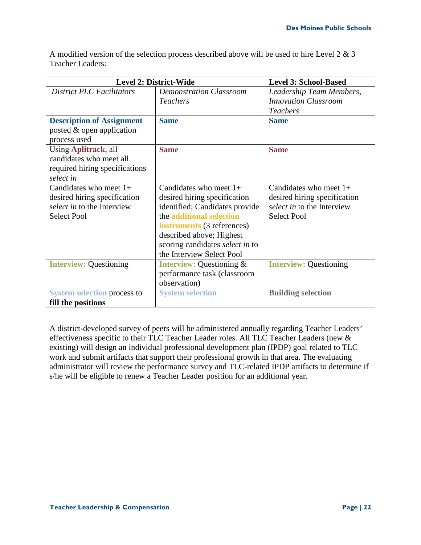A modified version of the selection process described above will be used to hire Level 2 & 3 Teacher Leaders:

| <b>Level 2: District-Wide</b>      |                                     | <b>Level 3: School-Based</b>  |
|------------------------------------|-------------------------------------|-------------------------------|
| <b>District PLC Facilitators</b>   | <b>Demonstration Classroom</b>      | Leadership Team Members,      |
|                                    | <b>Teachers</b>                     | <b>Innovation Classroom</b>   |
|                                    |                                     | <b>Teachers</b>               |
| <b>Description of Assignment</b>   | <b>Same</b>                         | <b>Same</b>                   |
| posted & open application          |                                     |                               |
| process used                       |                                     |                               |
| Using Aplitrack, all               | <b>Same</b>                         | <b>Same</b>                   |
| candidates who meet all            |                                     |                               |
| required hiring specifications     |                                     |                               |
| select in                          |                                     |                               |
| Candidates who meet $1+$           | Candidates who meet $1+$            | Candidates who meet $1+$      |
| desired hiring specification       | desired hiring specification        | desired hiring specification  |
| select in to the Interview         | identified; Candidates provide      | select in to the Interview    |
| <b>Select Pool</b>                 | the additional selection            | Select Pool                   |
|                                    | instruments (3 references)          |                               |
|                                    | described above; Highest            |                               |
|                                    | scoring candidates select in to     |                               |
|                                    | the Interview Select Pool           |                               |
| <b>Interview: Questioning</b>      | <b>Interview: Questioning &amp;</b> | <b>Interview: Questioning</b> |
|                                    | performance task (classroom         |                               |
|                                    | observation)                        |                               |
| <b>System selection process to</b> | <b>System selection</b>             | <b>Building selection</b>     |
| fill the positions                 |                                     |                               |

A district-developed survey of peers will be administered annually regarding Teacher Leaders' effectiveness specific to their TLC Teacher Leader roles. All TLC Teacher Leaders (new & existing) will design an individual professional development plan (IPDP) goal related to TLC work and submit artifacts that support their professional growth in that area. The evaluating administrator will review the performance survey and TLC-related IPDP artifacts to determine if s/he will be eligible to renew a Teacher Leader position for an additional year.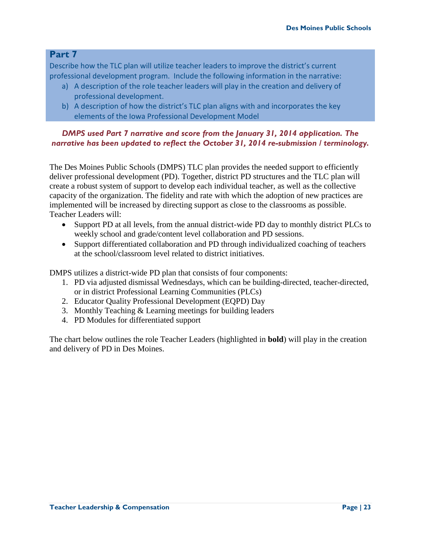Describe how the TLC plan will utilize teacher leaders to improve the district's current professional development program. Include the following information in the narrative:

- a) A description of the role teacher leaders will play in the creation and delivery of professional development.
- b) A description of how the district's TLC plan aligns with and incorporates the key elements of the Iowa Professional Development Model

#### *DMPS used Part 7 narrative and score from the January 31, 2014 application. The narrative has been updated to reflect the October 31, 2014 re-submission / terminology.*

The Des Moines Public Schools (DMPS) TLC plan provides the needed support to efficiently deliver professional development (PD). Together, district PD structures and the TLC plan will create a robust system of support to develop each individual teacher, as well as the collective capacity of the organization. The fidelity and rate with which the adoption of new practices are implemented will be increased by directing support as close to the classrooms as possible. Teacher Leaders will:

- Support PD at all levels, from the annual district-wide PD day to monthly district PLCs to weekly school and grade/content level collaboration and PD sessions.
- Support differentiated collaboration and PD through individualized coaching of teachers at the school/classroom level related to district initiatives.

DMPS utilizes a district-wide PD plan that consists of four components:

- 1. PD via adjusted dismissal Wednesdays, which can be building-directed, teacher-directed, or in district Professional Learning Communities (PLCs)
- 2. Educator Quality Professional Development (EQPD) Day
- 3. Monthly Teaching & Learning meetings for building leaders
- 4. PD Modules for differentiated support

The chart below outlines the role Teacher Leaders (highlighted in **bold**) will play in the creation and delivery of PD in Des Moines.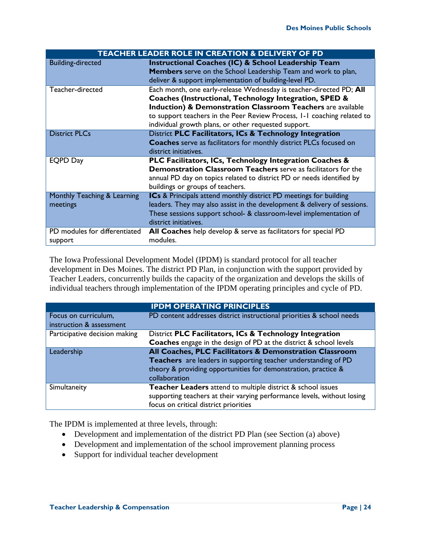|                                          | <b>TEACHER LEADER ROLE IN CREATION &amp; DELIVERY OF PD</b>                                                                                                                                                                                                                                                                                                                               |
|------------------------------------------|-------------------------------------------------------------------------------------------------------------------------------------------------------------------------------------------------------------------------------------------------------------------------------------------------------------------------------------------------------------------------------------------|
| <b>Building-directed</b>                 | <b>Instructional Coaches (IC) &amp; School Leadership Team</b><br>Members serve on the School Leadership Team and work to plan,                                                                                                                                                                                                                                                           |
| Teacher-directed                         | deliver & support implementation of building-level PD.<br>Each month, one early-release Wednesday is teacher-directed PD; All<br>Coaches (Instructional, Technology Integration, SPED &<br>Induction) & Demonstration Classroom Teachers are available<br>to support teachers in the Peer Review Process, 1-1 coaching related to<br>individual growth plans, or other requested support. |
| <b>District PLCs</b>                     | District PLC Facilitators, ICs & Technology Integration<br><b>Coaches</b> serve as facilitators for monthly district PLCs focused on<br>district initiatives.                                                                                                                                                                                                                             |
| <b>EQPD Day</b>                          | PLC Facilitators, ICs, Technology Integration Coaches &<br><b>Demonstration Classroom Teachers</b> serve as facilitators for the<br>annual PD day on topics related to district PD or needs identified by<br>buildings or groups of teachers.                                                                                                                                             |
| Monthly Teaching & Learning<br>meetings  | ICs & Principals attend monthly district PD meetings for building<br>leaders. They may also assist in the development & delivery of sessions.<br>These sessions support school- & classroom-level implementation of<br>district initiatives.                                                                                                                                              |
| PD modules for differentiated<br>support | All Coaches help develop & serve as facilitators for special PD<br>modules.                                                                                                                                                                                                                                                                                                               |

The Iowa Professional Development Model (IPDM) is standard protocol for all teacher development in Des Moines. The district PD Plan, in conjunction with the support provided by Teacher Leaders, concurrently builds the capacity of the organization and develops the skills of individual teachers through implementation of the IPDM operating principles and cycle of PD.

|                                                  | <b>IPDM OPERATING PRINCIPLES</b>                                                                                                                                                                             |
|--------------------------------------------------|--------------------------------------------------------------------------------------------------------------------------------------------------------------------------------------------------------------|
| Focus on curriculum,<br>instruction & assessment | PD content addresses district instructional priorities & school needs                                                                                                                                        |
| Participative decision making                    | District PLC Facilitators, ICs & Technology Integration                                                                                                                                                      |
|                                                  | <b>Coaches</b> engage in the design of PD at the district & school levels                                                                                                                                    |
| Leadership                                       | All Coaches, PLC Facilitators & Demonstration Classroom<br>Teachers are leaders in supporting teacher understanding of PD<br>theory & providing opportunities for demonstration, practice &<br>collaboration |
| Simultaneity                                     | Teacher Leaders attend to multiple district & school issues<br>supporting teachers at their varying performance levels, without losing<br>focus on critical district priorities                              |

The IPDM is implemented at three levels, through:

- Development and implementation of the district PD Plan (see Section (a) above)
- Development and implementation of the school improvement planning process
- Support for individual teacher development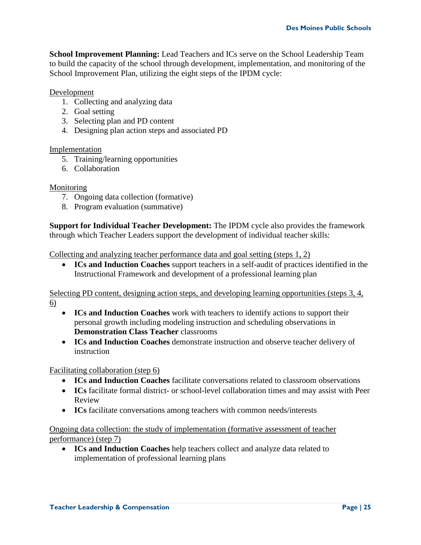**School Improvement Planning:** Lead Teachers and ICs serve on the School Leadership Team to build the capacity of the school through development, implementation, and monitoring of the School Improvement Plan, utilizing the eight steps of the IPDM cycle:

Development

- 1. Collecting and analyzing data
- 2. Goal setting
- 3. Selecting plan and PD content
- 4. Designing plan action steps and associated PD

#### Implementation

- 5. Training/learning opportunities
- 6. Collaboration

#### Monitoring

- 7. Ongoing data collection (formative)
- 8. Program evaluation (summative)

**Support for Individual Teacher Development:** The IPDM cycle also provides the framework through which Teacher Leaders support the development of individual teacher skills:

Collecting and analyzing teacher performance data and goal setting (steps 1, 2)

• **ICs and Induction Coaches** support teachers in a self-audit of practices identified in the Instructional Framework and development of a professional learning plan

Selecting PD content, designing action steps, and developing learning opportunities (steps 3, 4, 6)

- **ICs and Induction Coaches** work with teachers to identify actions to support their personal growth including modeling instruction and scheduling observations in **Demonstration Class Teacher** classrooms
- **ICs and Induction Coaches** demonstrate instruction and observe teacher delivery of instruction

#### Facilitating collaboration (step 6)

- **ICs and Induction Coaches** facilitate conversations related to classroom observations
- **ICs** facilitate formal district- or school-level collaboration times and may assist with Peer Review
- **ICs** facilitate conversations among teachers with common needs/interests

Ongoing data collection: the study of implementation (formative assessment of teacher performance) (step 7)

• **ICs and Induction Coaches** help teachers collect and analyze data related to implementation of professional learning plans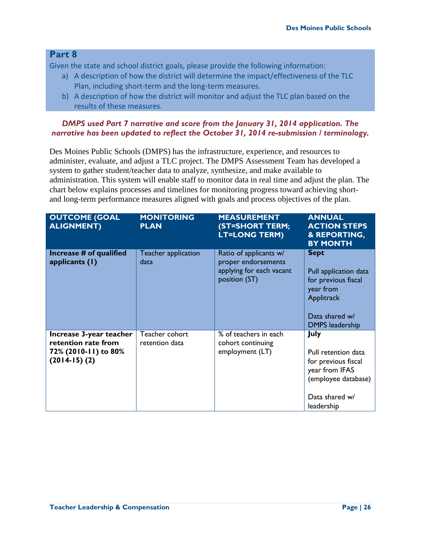Given the state and school district goals, please provide the following information:

- a) A description of how the district will determine the impact/effectiveness of the TLC Plan, including short-term and the long-term measures.
- b) A description of how the district will monitor and adjust the TLC plan based on the results of these measures.

#### *DMPS used Part 7 narrative and score from the January 31, 2014 application. The narrative has been updated to reflect the October 31, 2014 re-submission / terminology.*

Des Moines Public Schools (DMPS) has the infrastructure, experience, and resources to administer, evaluate, and adjust a TLC project. The DMPS Assessment Team has developed a system to gather student/teacher data to analyze, synthesize, and make available to administration. This system will enable staff to monitor data in real time and adjust the plan. The chart below explains processes and timelines for monitoring progress toward achieving shortand long-term performance measures aligned with goals and process objectives of the plan.

| <b>OUTCOME (GOAL</b><br><b>ALIGNMENT)</b>                                                | <b>MONITORING</b><br><b>PLAN</b> | <b>MEASUREMENT</b><br><b>(ST=SHORT TERM;</b><br><b>LT=LONG TERM)</b>                       | <b>ANNUAL</b><br><b>ACTION STEPS</b><br>& REPORTING,<br><b>BY MONTH</b>                                                            |
|------------------------------------------------------------------------------------------|----------------------------------|--------------------------------------------------------------------------------------------|------------------------------------------------------------------------------------------------------------------------------------|
| Increase # of qualified<br>applicants (1)                                                | Teacher application<br>data      | Ratio of applicants w/<br>proper endorsements<br>applying for each vacant<br>position (ST) | <b>Sept</b><br>Pull application data<br>for previous fiscal<br>year from<br>Applitrack<br>Data shared w/<br><b>DMPS</b> leadership |
| Increase 3-year teacher<br>retention rate from<br>72% (2010-11) to 80%<br>$(2014-15)(2)$ | Teacher cohort<br>retention data | % of teachers in each<br>cohort continuing<br>employment (LT)                              | July<br>Pull retention data<br>for previous fiscal<br>year from IFAS<br>(employee database)<br>Data shared w/<br>leadership        |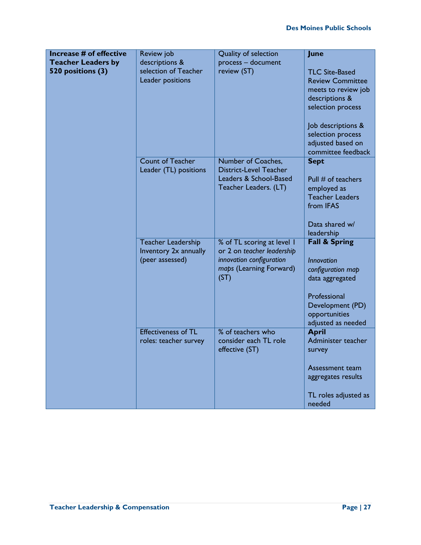| Increase # of effective   | Review job                                                            | Quality of selection                                                                                                    | June                                                                                                                                                                                                 |
|---------------------------|-----------------------------------------------------------------------|-------------------------------------------------------------------------------------------------------------------------|------------------------------------------------------------------------------------------------------------------------------------------------------------------------------------------------------|
| <b>Teacher Leaders by</b> | descriptions &                                                        | process - document                                                                                                      |                                                                                                                                                                                                      |
| 520 positions (3)         | selection of Teacher<br>Leader positions                              | review (ST)                                                                                                             | <b>TLC Site-Based</b><br><b>Review Committee</b><br>meets to review job<br>descriptions &<br>selection process<br>Job descriptions &<br>selection process<br>adjusted based on<br>committee feedback |
|                           | <b>Count of Teacher</b><br>Leader (TL) positions                      | Number of Coaches,<br><b>District-Level Teacher</b><br>Leaders & School-Based<br>Teacher Leaders. (LT)                  | <b>Sept</b><br>Pull # of teachers<br>employed as<br><b>Teacher Leaders</b><br>from IFAS<br>Data shared w/<br>leadership                                                                              |
|                           | <b>Teacher Leadership</b><br>Inventory 2x annually<br>(peer assessed) | % of TL scoring at level 1<br>or 2 on teacher leadership<br>innovation configuration<br>maps (Learning Forward)<br>(ST) | <b>Fall &amp; Spring</b><br><b>Innovation</b><br>configuration map<br>data aggregated<br>Professional<br>Development (PD)<br>opportunities<br>adjusted as needed                                     |
|                           | <b>Effectiveness of TL</b><br>roles: teacher survey                   | % of teachers who<br>consider each TL role<br>effective (ST)                                                            | <b>April</b><br>Administer teacher<br>survey<br>Assessment team<br>aggregates results<br>TL roles adjusted as<br>needed                                                                              |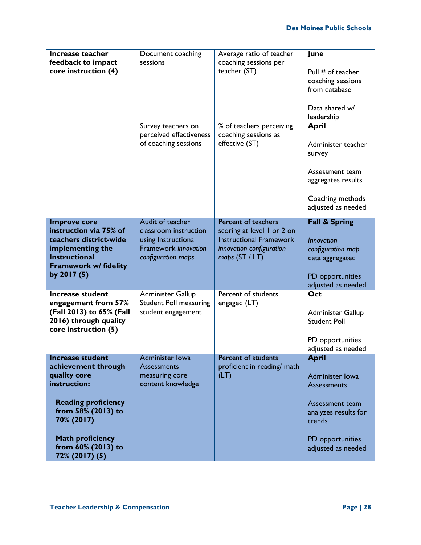| Increase teacher<br>feedback to impact<br>core instruction (4)                                                                                                                                                  | Document coaching<br>sessions                                                                                  | Average ratio of teacher<br>coaching sessions per<br>teacher (ST)                                                                   | June<br>Pull $#$ of teacher<br>coaching sessions<br>from database<br>Data shared w/<br>leadership                                             |
|-----------------------------------------------------------------------------------------------------------------------------------------------------------------------------------------------------------------|----------------------------------------------------------------------------------------------------------------|-------------------------------------------------------------------------------------------------------------------------------------|-----------------------------------------------------------------------------------------------------------------------------------------------|
|                                                                                                                                                                                                                 | Survey teachers on<br>perceived effectiveness<br>of coaching sessions                                          | % of teachers perceiving<br>coaching sessions as<br>effective (ST)                                                                  | <b>April</b><br>Administer teacher<br>survey<br>Assessment team<br>aggregates results<br>Coaching methods<br>adjusted as needed               |
| <b>Improve core</b><br>instruction via 75% of<br>teachers district-wide<br>implementing the<br><b>Instructional</b><br>Framework w/ fidelity<br>by $2017(5)$                                                    | Audit of teacher<br>classroom instruction<br>using Instructional<br>Framework innovation<br>configuration maps | Percent of teachers<br>scoring at level 1 or 2 on<br><b>Instructional Framework</b><br>innovation configuration<br>maps $(ST / LT)$ | <b>Fall &amp; Spring</b><br><b>Innovation</b><br>configuration map<br>data aggregated<br>PD opportunities<br>adjusted as needed               |
| <b>Increase student</b><br>engagement from 57%<br>(Fall 2013) to 65% (Fall<br>2016) through quality<br>core instruction (5)                                                                                     | <b>Administer Gallup</b><br><b>Student Poll measuring</b><br>student engagement                                | Percent of students<br>engaged (LT)                                                                                                 | $\overline{Oct}$<br><b>Administer Gallup</b><br><b>Student Poll</b><br>PD opportunities<br>adjusted as needed                                 |
| Increase student<br>achievement through<br>quality core<br>instruction:<br><b>Reading proficiency</b><br>from 58% (2013) to<br>70% (2017)<br><b>Math proficiency</b><br>from 60% (2013) to<br>$72\%$ (2017) (5) | Administer Iowa<br><b>Assessments</b><br>measuring core<br>content knowledge                                   | Percent of students<br>proficient in reading/ math<br>(LT)                                                                          | <b>April</b><br>Administer Iowa<br>Assessments<br>Assessment team<br>analyzes results for<br>trends<br>PD opportunities<br>adjusted as needed |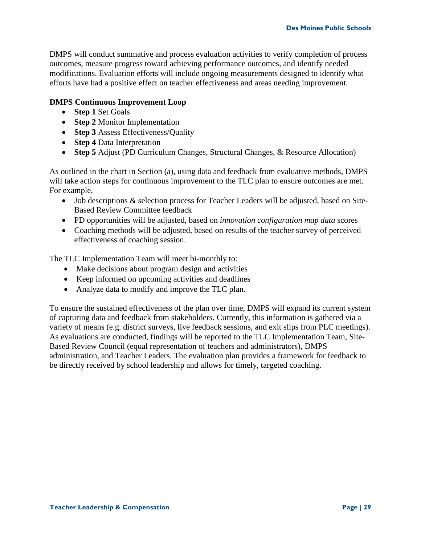DMPS will conduct summative and process evaluation activities to verify completion of process outcomes, measure progress toward achieving performance outcomes, and identify needed modifications. Evaluation efforts will include ongoing measurements designed to identify what efforts have had a positive effect on teacher effectiveness and areas needing improvement.

#### **DMPS Continuous Improvement Loop**

- **Step 1** Set Goals
- **Step 2** Monitor Implementation
- **Step 3** Assess Effectiveness/Quality
- **Step 4** Data Interpretation
- **Step 5** Adjust (PD Curriculum Changes, Structural Changes, & Resource Allocation)

As outlined in the chart in Section (a), using data and feedback from evaluative methods, DMPS will take action steps for continuous improvement to the TLC plan to ensure outcomes are met. For example,

- Job descriptions & selection process for Teacher Leaders will be adjusted, based on Site-Based Review Committee feedback
- PD opportunities will be adjusted, based on *innovation configuration map data* scores
- Coaching methods will be adjusted, based on results of the teacher survey of perceived effectiveness of coaching session.

The TLC Implementation Team will meet bi-monthly to:

- Make decisions about program design and activities
- Keep informed on upcoming activities and deadlines
- Analyze data to modify and improve the TLC plan.

To ensure the sustained effectiveness of the plan over time, DMPS will expand its current system of capturing data and feedback from stakeholders. Currently, this information is gathered via a variety of means (e.g. district surveys, live feedback sessions, and exit slips from PLC meetings). As evaluations are conducted, findings will be reported to the TLC Implementation Team, Site-Based Review Council (equal representation of teachers and administrators), DMPS administration, and Teacher Leaders. The evaluation plan provides a framework for feedback to be directly received by school leadership and allows for timely, targeted coaching.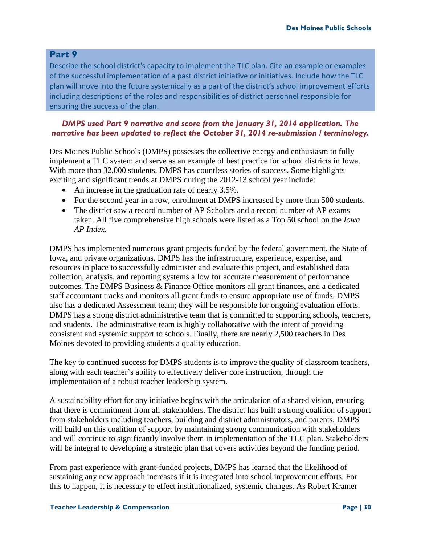Describe the school district's capacity to implement the TLC plan. Cite an example or examples of the successful implementation of a past district initiative or initiatives. Include how the TLC plan will move into the future systemically as a part of the district's school improvement efforts including descriptions of the roles and responsibilities of district personnel responsible for ensuring the success of the plan.

#### *DMPS used Part 9 narrative and score from the January 31, 2014 application. The narrative has been updated to reflect the October 31, 2014 re-submission / terminology.*

Des Moines Public Schools (DMPS) possesses the collective energy and enthusiasm to fully implement a TLC system and serve as an example of best practice for school districts in Iowa. With more than 32,000 students, DMPS has countless stories of success. Some highlights exciting and significant trends at DMPS during the 2012-13 school year include:

- An increase in the graduation rate of nearly 3.5%.
- For the second year in a row, enrollment at DMPS increased by more than 500 students.
- The district saw a record number of AP Scholars and a record number of AP exams taken. All five comprehensive high schools were listed as a Top 50 school on the *Iowa AP Index*.

DMPS has implemented numerous grant projects funded by the federal government, the State of Iowa, and private organizations. DMPS has the infrastructure, experience, expertise, and resources in place to successfully administer and evaluate this project, and established data collection, analysis, and reporting systems allow for accurate measurement of performance outcomes. The DMPS Business & Finance Office monitors all grant finances, and a dedicated staff accountant tracks and monitors all grant funds to ensure appropriate use of funds. DMPS also has a dedicated Assessment team; they will be responsible for ongoing evaluation efforts. DMPS has a strong district administrative team that is committed to supporting schools, teachers, and students. The administrative team is highly collaborative with the intent of providing consistent and systemic support to schools. Finally, there are nearly 2,500 teachers in Des Moines devoted to providing students a quality education.

The key to continued success for DMPS students is to improve the quality of classroom teachers, along with each teacher's ability to effectively deliver core instruction, through the implementation of a robust teacher leadership system.

A sustainability effort for any initiative begins with the articulation of a shared vision, ensuring that there is commitment from all stakeholders. The district has built a strong coalition of support from stakeholders including teachers, building and district administrators, and parents. DMPS will build on this coalition of support by maintaining strong communication with stakeholders and will continue to significantly involve them in implementation of the TLC plan. Stakeholders will be integral to developing a strategic plan that covers activities beyond the funding period.

From past experience with grant-funded projects, DMPS has learned that the likelihood of sustaining any new approach increases if it is integrated into school improvement efforts. For this to happen, it is necessary to effect institutionalized, systemic changes. As Robert Kramer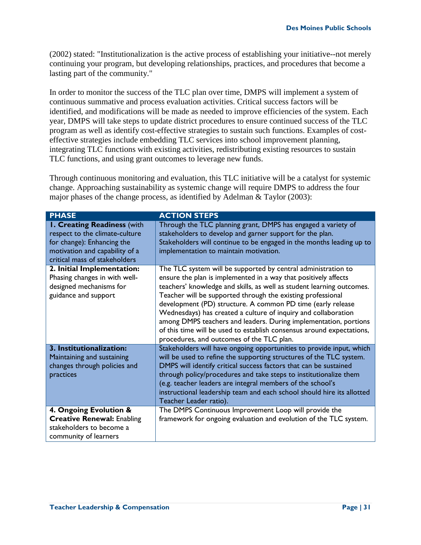(2002) stated: "Institutionalization is the active process of establishing your initiative--not merely continuing your program, but developing relationships, practices, and procedures that become a lasting part of the community."

In order to monitor the success of the TLC plan over time, DMPS will implement a system of continuous summative and process evaluation activities. Critical success factors will be identified, and modifications will be made as needed to improve efficiencies of the system. Each year, DMPS will take steps to update district procedures to ensure continued success of the TLC program as well as identify cost-effective strategies to sustain such functions. Examples of costeffective strategies include embedding TLC services into school improvement planning, integrating TLC functions with existing activities, redistributing existing resources to sustain TLC functions, and using grant outcomes to leverage new funds.

Through continuous monitoring and evaluation, this TLC initiative will be a catalyst for systemic change. Approaching sustainability as systemic change will require DMPS to address the four major phases of the change process, as identified by Adelman & Taylor (2003):

| <b>PHASE</b>                                                                                                                                                          | <b>ACTION STEPS</b>                                                                                                                                                                                                                                                                                                                                                                                                                                                                                                                                                                                 |
|-----------------------------------------------------------------------------------------------------------------------------------------------------------------------|-----------------------------------------------------------------------------------------------------------------------------------------------------------------------------------------------------------------------------------------------------------------------------------------------------------------------------------------------------------------------------------------------------------------------------------------------------------------------------------------------------------------------------------------------------------------------------------------------------|
| <b>I. Creating Readiness (with</b><br>respect to the climate-culture<br>for change): Enhancing the<br>motivation and capability of a<br>critical mass of stakeholders | Through the TLC planning grant, DMPS has engaged a variety of<br>stakeholders to develop and garner support for the plan.<br>Stakeholders will continue to be engaged in the months leading up to<br>implementation to maintain motivation.                                                                                                                                                                                                                                                                                                                                                         |
| 2. Initial Implementation:<br>Phasing changes in with well-<br>designed mechanisms for<br>guidance and support                                                        | The TLC system will be supported by central administration to<br>ensure the plan is implemented in a way that positively affects<br>teachers' knowledge and skills, as well as student learning outcomes.<br>Teacher will be supported through the existing professional<br>development (PD) structure. A common PD time (early release<br>Wednesdays) has created a culture of inquiry and collaboration<br>among DMPS teachers and leaders. During implementation, portions<br>of this time will be used to establish consensus around expectations,<br>procedures, and outcomes of the TLC plan. |
| 3. Institutionalization:<br>Maintaining and sustaining<br>changes through policies and<br>practices                                                                   | Stakeholders will have ongoing opportunities to provide input, which<br>will be used to refine the supporting structures of the TLC system.<br>DMPS will identify critical success factors that can be sustained<br>through policy/procedures and take steps to institutionalize them<br>(e.g. teacher leaders are integral members of the school's<br>instructional leadership team and each school should hire its allotted<br>Teacher Leader ratio).                                                                                                                                             |
| 4. Ongoing Evolution &<br><b>Creative Renewal: Enabling</b><br>stakeholders to become a<br>community of learners                                                      | The DMPS Continuous Improvement Loop will provide the<br>framework for ongoing evaluation and evolution of the TLC system.                                                                                                                                                                                                                                                                                                                                                                                                                                                                          |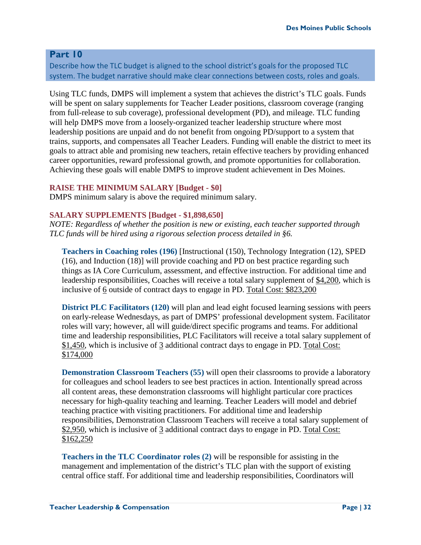Describe how the TLC budget is aligned to the school district's goals for the proposed TLC system. The budget narrative should make clear connections between costs, roles and goals.

Using TLC funds, DMPS will implement a system that achieves the district's TLC goals. Funds will be spent on salary supplements for Teacher Leader positions, classroom coverage (ranging from full-release to sub coverage), professional development (PD), and mileage. TLC funding will help DMPS move from a loosely-organized teacher leadership structure where most leadership positions are unpaid and do not benefit from ongoing PD/support to a system that trains, supports, and compensates all Teacher Leaders. Funding will enable the district to meet its goals to attract able and promising new teachers, retain effective teachers by providing enhanced career opportunities, reward professional growth, and promote opportunities for collaboration. Achieving these goals will enable DMPS to improve student achievement in Des Moines.

#### **RAISE THE MINIMUM SALARY [Budget - \$0]**

DMPS minimum salary is above the required minimum salary.

#### **SALARY SUPPLEMENTS [Budget - \$1,898,650]**

*NOTE: Regardless of whether the position is new or existing, each teacher supported through TLC funds will be hired using a rigorous selection process detailed in §6.*

**Teachers in Coaching roles (196)** [Instructional (150), Technology Integration (12), SPED (16), and Induction (18)] will provide coaching and PD on best practice regarding such things as IA Core Curriculum, assessment, and effective instruction. For additional time and leadership responsibilities, Coaches will receive a total salary supplement of \$4,200, which is inclusive of 6 outside of contract days to engage in PD. Total Cost: \$823,200

**District PLC Facilitators (120)** will plan and lead eight focused learning sessions with peers on early-release Wednesdays, as part of DMPS' professional development system. Facilitator roles will vary; however, all will guide/direct specific programs and teams. For additional time and leadership responsibilities, PLC Facilitators will receive a total salary supplement of \$1,450, which is inclusive of 3 additional contract days to engage in PD. Total Cost: \$174,000

**Demonstration Classroom Teachers (55)** will open their classrooms to provide a laboratory for colleagues and school leaders to see best practices in action. Intentionally spread across all content areas, these demonstration classrooms will highlight particular core practices necessary for high-quality teaching and learning. Teacher Leaders will model and debrief teaching practice with visiting practitioners. For additional time and leadership responsibilities, Demonstration Classroom Teachers will receive a total salary supplement of \$2,950, which is inclusive of 3 additional contract days to engage in PD. Total Cost: \$162,250

**Teachers in the TLC Coordinator roles (2)** will be responsible for assisting in the management and implementation of the district's TLC plan with the support of existing central office staff. For additional time and leadership responsibilities, Coordinators will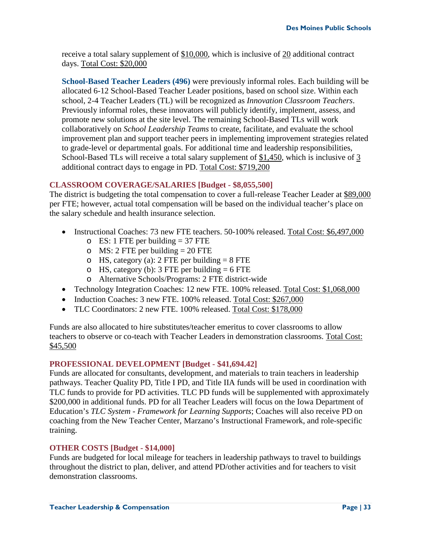receive a total salary supplement of \$10,000, which is inclusive of 20 additional contract days. Total Cost: \$20,000

**School-Based Teacher Leaders (496)** were previously informal roles. Each building will be allocated 6-12 School-Based Teacher Leader positions, based on school size. Within each school, 2-4 Teacher Leaders (TL) will be recognized as *Innovation Classroom Teachers*. Previously informal roles, these innovators will publicly identify, implement, assess, and promote new solutions at the site level. The remaining School-Based TLs will work collaboratively on *School Leadership Teams* to create, facilitate, and evaluate the school improvement plan and support teacher peers in implementing improvement strategies related to grade-level or departmental goals. For additional time and leadership responsibilities, School-Based TLs will receive a total salary supplement of \$1,450, which is inclusive of 3 additional contract days to engage in PD. Total Cost: \$719,200

## **CLASSROOM COVERAGE/SALARIES [Budget - \$8,055,500]**

The district is budgeting the total compensation to cover a full-release Teacher Leader at \$89,000 per FTE; however, actual total compensation will be based on the individual teacher's place on the salary schedule and health insurance selection.

- Instructional Coaches: 73 new FTE teachers. 50-100% released. Total Cost: \$6,497,000
	- $\circ$  ES: 1 FTE per building = 37 FTE
	- o MS: 2 FTE per building  $= 20$  FTE
	- o HS, category (a):  $2$  FTE per building =  $8$  FTE
	- o HS, category (b):  $3$  FTE per building =  $6$  FTE
	- o Alternative Schools/Programs: 2 FTE district-wide
- Technology Integration Coaches: 12 new FTE. 100% released. Total Cost: \$1,068,000
- Induction Coaches: 3 new FTE. 100% released. Total Cost: \$267,000
- TLC Coordinators: 2 new FTE. 100% released. Total Cost: \$178,000

Funds are also allocated to hire substitutes/teacher emeritus to cover classrooms to allow teachers to observe or co-teach with Teacher Leaders in demonstration classrooms. Total Cost: \$45,500

## **PROFESSIONAL DEVELOPMENT [Budget - \$41,694.42]**

Funds are allocated for consultants, development, and materials to train teachers in leadership pathways. Teacher Quality PD, Title I PD, and Title IIA funds will be used in coordination with TLC funds to provide for PD activities. TLC PD funds will be supplemented with approximately \$200,000 in additional funds. PD for all Teacher Leaders will focus on the Iowa Department of Education's *TLC System - Framework for Learning Supports*; Coaches will also receive PD on coaching from the New Teacher Center, Marzano's Instructional Framework, and role-specific training.

## **OTHER COSTS [Budget - \$14,000]**

Funds are budgeted for local mileage for teachers in leadership pathways to travel to buildings throughout the district to plan, deliver, and attend PD/other activities and for teachers to visit demonstration classrooms.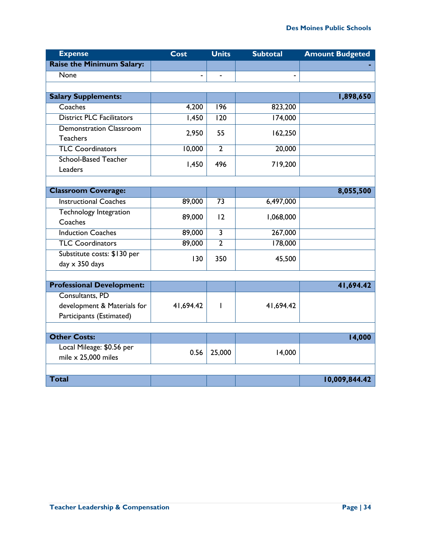| <b>Expense</b>                   | <b>Cost</b> | <b>Units</b>     | <b>Subtotal</b> | <b>Amount Budgeted</b> |
|----------------------------------|-------------|------------------|-----------------|------------------------|
| <b>Raise the Minimum Salary:</b> |             |                  |                 |                        |
| None                             | ä,          | $\blacksquare$   | ä,              |                        |
|                                  |             |                  |                 |                        |
| <b>Salary Supplements:</b>       |             |                  |                 | 1,898,650              |
| Coaches                          | 4,200       | 196              | 823,200         |                        |
| <b>District PLC Facilitators</b> | 1,450       | $\overline{120}$ | 174,000         |                        |
| <b>Demonstration Classroom</b>   | 2,950       | 55               | 162,250         |                        |
| <b>Teachers</b>                  |             |                  |                 |                        |
| <b>TLC Coordinators</b>          | 10,000      | $\overline{2}$   | 20,000          |                        |
| <b>School-Based Teacher</b>      | 1,450       | 496              | 719,200         |                        |
| Leaders                          |             |                  |                 |                        |
|                                  |             |                  |                 |                        |
| <b>Classroom Coverage:</b>       |             |                  |                 | 8,055,500              |
| <b>Instructional Coaches</b>     | 89,000      | 73               | 6,497,000       |                        |
| Technology Integration           | 89,000      | 12               | 1,068,000       |                        |
| Coaches                          |             |                  |                 |                        |
| <b>Induction Coaches</b>         | 89,000      | $\overline{3}$   | 267,000         |                        |
| <b>TLC Coordinators</b>          | 89,000      | $\overline{2}$   | 178,000         |                        |
| Substitute costs: \$130 per      | 130         | 350              | 45,500          |                        |
| day $\times$ 350 days            |             |                  |                 |                        |
|                                  |             |                  |                 |                        |
| <b>Professional Development:</b> |             |                  |                 | 41,694.42              |
| Consultants, PD                  |             |                  |                 |                        |
| development & Materials for      | 41,694.42   | $\mathbf{I}$     | 41,694.42       |                        |
| Participants (Estimated)         |             |                  |                 |                        |
|                                  |             |                  |                 |                        |
| <b>Other Costs:</b>              |             |                  |                 | 14,000                 |
| Local Mileage: \$0.56 per        | 0.56        | 25,000           | 14,000          |                        |
| mile $\times$ 25,000 miles       |             |                  |                 |                        |
|                                  |             |                  |                 |                        |
| <b>Total</b>                     |             |                  |                 | 10,009,844.42          |